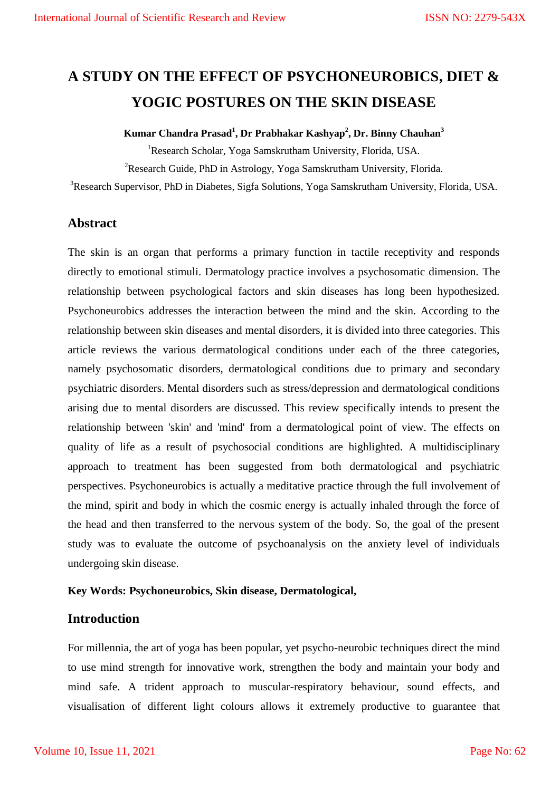# **A STUDY ON THE EFFECT OF PSYCHONEUROBICS, DIET & YOGIC POSTURES ON THE SKIN DISEASE**

# **Kumar Chandra Prasad<sup>1</sup> , Dr Prabhakar Kashyap<sup>2</sup> , Dr. Binny Chauhan<sup>3</sup>**

<sup>1</sup>Research Scholar, Yoga Samskrutham University, Florida, USA. <sup>2</sup>Research Guide, PhD in Astrology, Yoga Samskrutham University, Florida.

<sup>3</sup>Research Supervisor, PhD in Diabetes, Sigfa Solutions, Yoga Samskrutham University, Florida, USA.

# **Abstract**

The skin is an organ that performs a primary function in tactile receptivity and responds directly to emotional stimuli. Dermatology practice involves a psychosomatic dimension. The relationship between psychological factors and skin diseases has long been hypothesized. Psychoneurobics addresses the interaction between the mind and the skin. According to the relationship between skin diseases and mental disorders, it is divided into three categories. This article reviews the various dermatological conditions under each of the three categories, namely psychosomatic disorders, dermatological conditions due to primary and secondary psychiatric disorders. Mental disorders such as stress/depression and dermatological conditions arising due to mental disorders are discussed. This review specifically intends to present the relationship between 'skin' and 'mind' from a dermatological point of view. The effects on quality of life as a result of psychosocial conditions are highlighted. A multidisciplinary approach to treatment has been suggested from both dermatological and psychiatric perspectives. Psychoneurobics is actually a meditative practice through the full involvement of the mind, spirit and body in which the cosmic energy is actually inhaled through the force of the head and then transferred to the nervous system of the body. So, the goal of the present study was to evaluate the outcome of psychoanalysis on the anxiety level of individuals undergoing skin disease.

#### **Key Words: Psychoneurobics, Skin disease, Dermatological,**

# **Introduction**

For millennia, the art of yoga has been popular, yet psycho-neurobic techniques direct the mind to use mind strength for innovative work, strengthen the body and maintain your body and mind safe. A trident approach to muscular-respiratory behaviour, sound effects, and visualisation of different light colours allows it extremely productive to guarantee that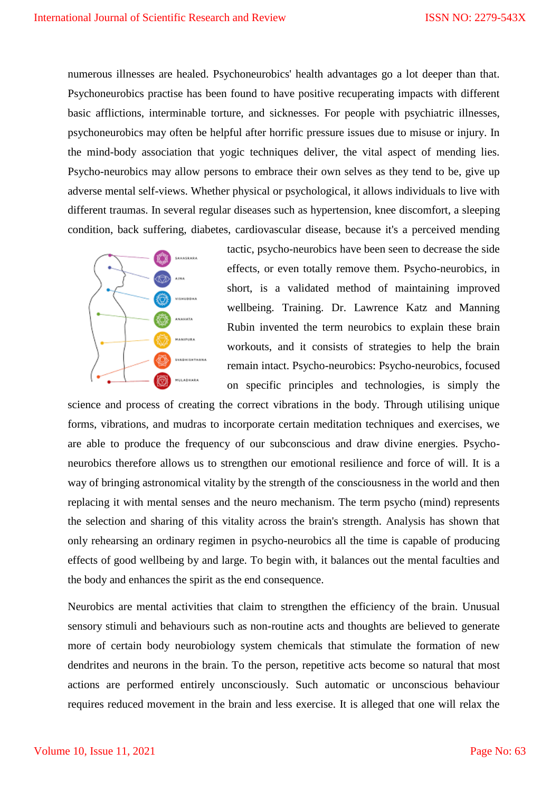numerous illnesses are healed. Psychoneurobics' health advantages go a lot deeper than that. Psychoneurobics practise has been found to have positive recuperating impacts with different basic afflictions, interminable torture, and sicknesses. For people with psychiatric illnesses, psychoneurobics may often be helpful after horrific pressure issues due to misuse or injury. In the mind-body association that yogic techniques deliver, the vital aspect of mending lies. Psycho-neurobics may allow persons to embrace their own selves as they tend to be, give up adverse mental self-views. Whether physical or psychological, it allows individuals to live with different traumas. In several regular diseases such as hypertension, knee discomfort, a sleeping condition, back suffering, diabetes, cardiovascular disease, because it's a perceived mending



tactic, psycho-neurobics have been seen to decrease the side effects, or even totally remove them. Psycho-neurobics, in short, is a validated method of maintaining improved wellbeing. Training. Dr. Lawrence Katz and Manning Rubin invented the term neurobics to explain these brain workouts, and it consists of strategies to help the brain remain intact. Psycho-neurobics: Psycho-neurobics, focused on specific principles and technologies, is simply the

science and process of creating the correct vibrations in the body. Through utilising unique forms, vibrations, and mudras to incorporate certain meditation techniques and exercises, we are able to produce the frequency of our subconscious and draw divine energies. Psychoneurobics therefore allows us to strengthen our emotional resilience and force of will. It is a way of bringing astronomical vitality by the strength of the consciousness in the world and then replacing it with mental senses and the neuro mechanism. The term psycho (mind) represents the selection and sharing of this vitality across the brain's strength. Analysis has shown that only rehearsing an ordinary regimen in psycho-neurobics all the time is capable of producing effects of good wellbeing by and large. To begin with, it balances out the mental faculties and the body and enhances the spirit as the end consequence.

Neurobics are mental activities that claim to strengthen the efficiency of the brain. Unusual sensory stimuli and behaviours such as non-routine acts and thoughts are believed to generate more of certain body neurobiology system chemicals that stimulate the formation of new dendrites and neurons in the brain. To the person, repetitive acts become so natural that most actions are performed entirely unconsciously. Such automatic or unconscious behaviour requires reduced movement in the brain and less exercise. It is alleged that one will relax the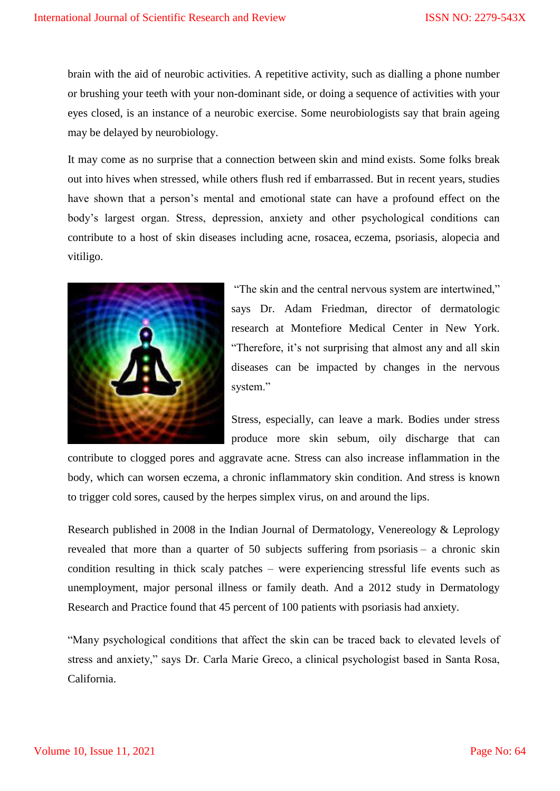brain with the aid of neurobic activities. A repetitive activity, such as dialling a phone number or brushing your teeth with your non-dominant side, or doing a sequence of activities with your eyes closed, is an instance of a neurobic exercise. Some neurobiologists say that brain ageing may be delayed by neurobiology.

It may come as no surprise that a connection between skin and mind exists. Some folks break out into hives when stressed, while others flush red if embarrassed. But in recent years, studies have shown that a person's mental and emotional state can have a profound effect on the body's largest organ. Stress, depression, anxiety and other psychological conditions can contribute to a host of skin diseases including acne, rosacea, eczema, psoriasis, alopecia and vitiligo.



"The skin and the central nervous system are intertwined," says Dr. Adam Friedman, director of dermatologic research at Montefiore Medical Center in New York. ―Therefore, it's not surprising that almost any and all skin diseases can be impacted by changes in the nervous system."

Stress, especially, can leave a mark. Bodies under stress produce more skin sebum, oily discharge that can

contribute to clogged pores and aggravate acne. Stress can also increase inflammation in the body, which can worsen eczema, a chronic inflammatory skin condition. And stress is known to trigger cold sores, caused by the herpes simplex virus, on and around the lips.

Research published in 2008 in the Indian Journal of Dermatology, Venereology & Leprology revealed that more than a quarter of 50 subjects suffering from psoriasis – a chronic skin condition resulting in thick scaly patches – were experiencing stressful life events such as unemployment, major personal illness or family death. And a 2012 study in Dermatology Research and Practice found that 45 percent of 100 patients with psoriasis had anxiety.

―Many psychological conditions that affect the skin can be traced back to elevated levels of stress and anxiety," says Dr. Carla Marie Greco, a clinical psychologist based in Santa Rosa, California.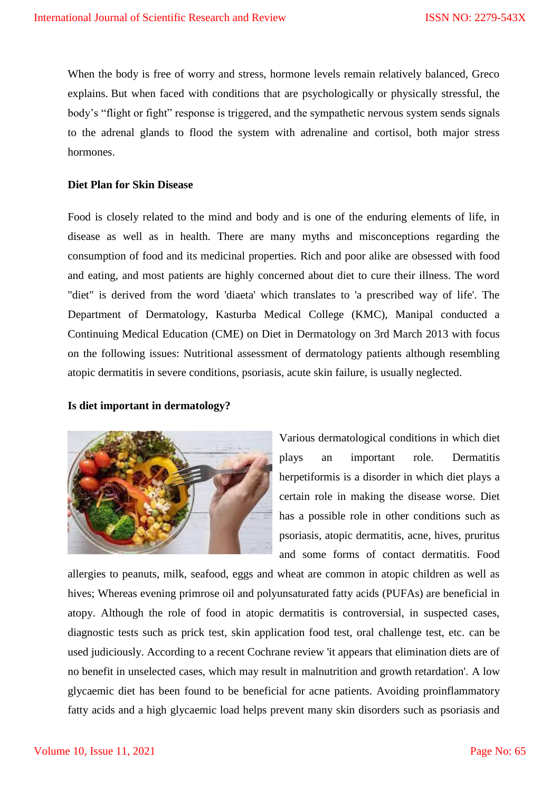When the body is free of worry and stress, hormone levels remain relatively balanced, Greco explains. But when faced with conditions that are psychologically or physically stressful, the body's "flight or fight" response is triggered, and the sympathetic nervous system sends signals to the adrenal glands to flood the system with adrenaline and cortisol, both major stress hormones.

#### **Diet Plan for Skin Disease**

Food is closely related to the mind and body and is one of the enduring elements of life, in disease as well as in health. There are many myths and misconceptions regarding the consumption of food and its medicinal properties. Rich and poor alike are obsessed with food and eating, and most patients are highly concerned about diet to cure their illness. The word "diet" is derived from the word 'diaeta' which translates to 'a prescribed way of life'. The Department of Dermatology, Kasturba Medical College (KMC), Manipal conducted a Continuing Medical Education (CME) on Diet in Dermatology on 3rd March 2013 with focus on the following issues: Nutritional assessment of dermatology patients although resembling atopic dermatitis in severe conditions, psoriasis, acute skin failure, is usually neglected.

#### **Is diet important in dermatology?**



Various dermatological conditions in which diet plays an important role. Dermatitis herpetiformis is a disorder in which diet plays a certain role in making the disease worse. Diet has a possible role in other conditions such as psoriasis, atopic dermatitis, acne, hives, pruritus and some forms of contact dermatitis. Food

allergies to peanuts, milk, seafood, eggs and wheat are common in atopic children as well as hives; Whereas evening primrose oil and polyunsaturated fatty acids (PUFAs) are beneficial in atopy. Although the role of food in atopic dermatitis is controversial, in suspected cases, diagnostic tests such as prick test, skin application food test, oral challenge test, etc. can be used judiciously. According to a recent Cochrane review 'it appears that elimination diets are of no benefit in unselected cases, which may result in malnutrition and growth retardation'. A low glycaemic diet has been found to be beneficial for acne patients. Avoiding proinflammatory fatty acids and a high glycaemic load helps prevent many skin disorders such as psoriasis and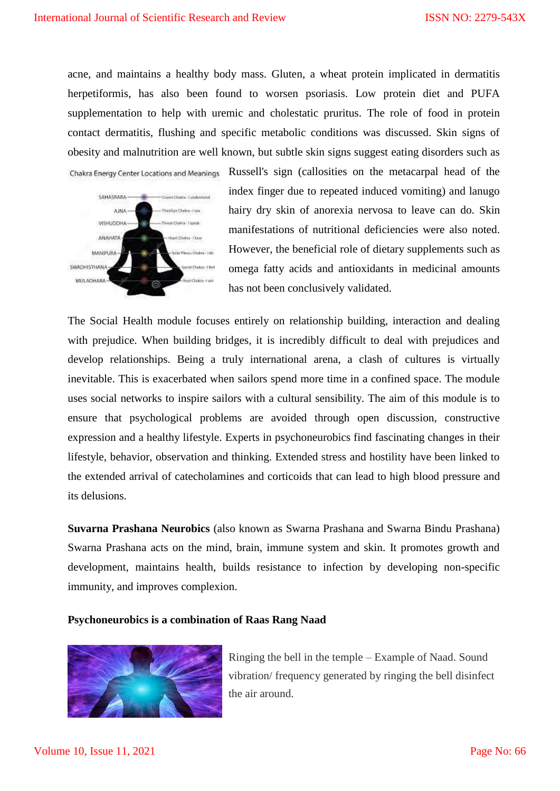acne, and maintains a healthy body mass. Gluten, a wheat protein implicated in dermatitis herpetiformis, has also been found to worsen psoriasis. Low protein diet and PUFA supplementation to help with uremic and cholestatic pruritus. The role of food in protein contact dermatitis, flushing and specific metabolic conditions was discussed. Skin signs of obesity and malnutrition are well known, but subtle skin signs suggest eating disorders such as



Chakra Energy Center Locations and Meanings Russell's sign (callosities on the metacarpal head of the index finger due to repeated induced vomiting) and lanugo hairy dry skin of anorexia nervosa to leave can do. Skin manifestations of nutritional deficiencies were also noted. However, the beneficial role of dietary supplements such as omega fatty acids and antioxidants in medicinal amounts has not been conclusively validated.

The Social Health module focuses entirely on relationship building, interaction and dealing with prejudice. When building bridges, it is incredibly difficult to deal with prejudices and develop relationships. Being a truly international arena, a clash of cultures is virtually inevitable. This is exacerbated when sailors spend more time in a confined space. The module uses social networks to inspire sailors with a cultural sensibility. The aim of this module is to ensure that psychological problems are avoided through open discussion, constructive expression and a healthy lifestyle. Experts in psychoneurobics find fascinating changes in their lifestyle, behavior, observation and thinking. Extended stress and hostility have been linked to the extended arrival of catecholamines and corticoids that can lead to high blood pressure and its delusions.

**Suvarna Prashana Neurobics** (also known as Swarna Prashana and Swarna Bindu Prashana) Swarna Prashana acts on the mind, brain, immune system and skin. It promotes growth and development, maintains health, builds resistance to infection by developing non-specific immunity, and improves complexion.

#### **Psychoneurobics is a combination of Raas Rang Naad**



Ringing the bell in the temple – Example of Naad. Sound vibration/ frequency generated by ringing the bell disinfect the air around.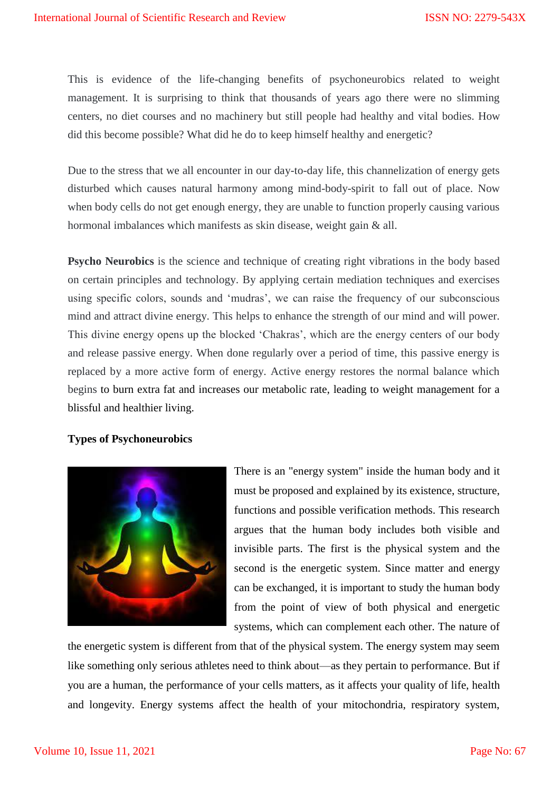This is evidence of the life-changing benefits of psychoneurobics related to weight management. It is surprising to think that thousands of years ago there were no slimming centers, no diet courses and no machinery but still people had healthy and vital bodies. How did this become possible? What did he do to keep himself healthy and energetic?

Due to the stress that we all encounter in our day-to-day life, this channelization of energy gets disturbed which causes natural harmony among mind-body-spirit to fall out of place. Now when body cells do not get enough energy, they are unable to function properly causing various hormonal imbalances which manifests as skin disease, weight gain & all.

**Psycho Neurobics** is the science and technique of creating right vibrations in the body based on certain principles and technology. By applying certain mediation techniques and exercises using specific colors, sounds and 'mudras', we can raise the frequency of our subconscious mind and attract divine energy. This helps to enhance the strength of our mind and will power. This divine energy opens up the blocked 'Chakras', which are the energy centers of our body and release passive energy. When done regularly over a period of time, this passive energy is replaced by a more active form of energy. Active energy restores the normal balance which begins to burn extra fat and increases our metabolic rate, leading to weight management for a blissful and healthier living.

# **Types of Psychoneurobics**



There is an "energy system" inside the human body and it must be proposed and explained by its existence, structure, functions and possible verification methods. This research argues that the human body includes both visible and invisible parts. The first is the physical system and the second is the energetic system. Since matter and energy can be exchanged, it is important to study the human body from the point of view of both physical and energetic systems, which can complement each other. The nature of

the energetic system is different from that of the physical system. The energy system may seem like something only serious athletes need to think about—as they pertain to performance. But if you are a human, the performance of your cells matters, as it affects your quality of life, health and longevity. Energy systems affect the health of your mitochondria, respiratory system,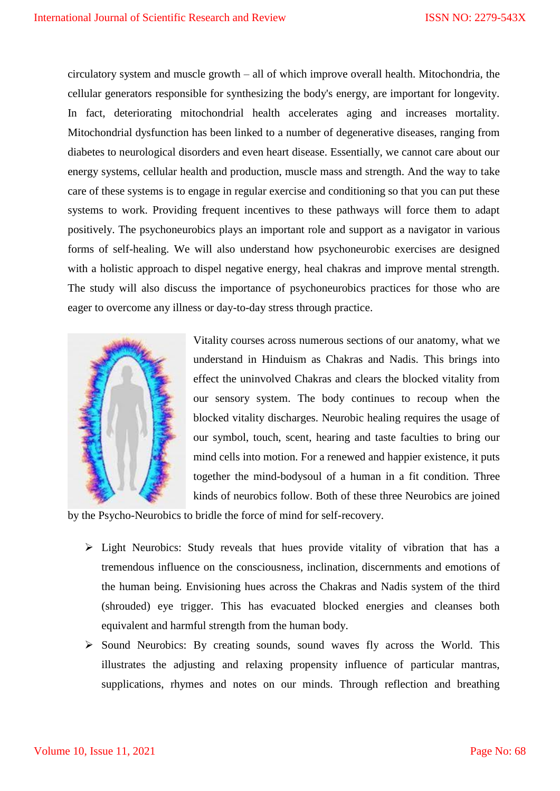circulatory system and muscle growth – all of which improve overall health. Mitochondria, the cellular generators responsible for synthesizing the body's energy, are important for longevity. In fact, deteriorating mitochondrial health accelerates aging and increases mortality. Mitochondrial dysfunction has been linked to a number of degenerative diseases, ranging from diabetes to neurological disorders and even heart disease. Essentially, we cannot care about our energy systems, cellular health and production, muscle mass and strength. And the way to take care of these systems is to engage in regular exercise and conditioning so that you can put these systems to work. Providing frequent incentives to these pathways will force them to adapt positively. The psychoneurobics plays an important role and support as a navigator in various forms of self-healing. We will also understand how psychoneurobic exercises are designed with a holistic approach to dispel negative energy, heal chakras and improve mental strength. The study will also discuss the importance of psychoneurobics practices for those who are eager to overcome any illness or day-to-day stress through practice.



Vitality courses across numerous sections of our anatomy, what we understand in Hinduism as Chakras and Nadis. This brings into effect the uninvolved Chakras and clears the blocked vitality from our sensory system. The body continues to recoup when the blocked vitality discharges. Neurobic healing requires the usage of our symbol, touch, scent, hearing and taste faculties to bring our mind cells into motion. For a renewed and happier existence, it puts together the mind-bodysoul of a human in a fit condition. Three kinds of neurobics follow. Both of these three Neurobics are joined

by the Psycho-Neurobics to bridle the force of mind for self-recovery.

- $\triangleright$  Light Neurobics: Study reveals that hues provide vitality of vibration that has a tremendous influence on the consciousness, inclination, discernments and emotions of the human being. Envisioning hues across the Chakras and Nadis system of the third (shrouded) eye trigger. This has evacuated blocked energies and cleanses both equivalent and harmful strength from the human body.
- $\triangleright$  Sound Neurobics: By creating sounds, sound waves fly across the World. This illustrates the adjusting and relaxing propensity influence of particular mantras, supplications, rhymes and notes on our minds. Through reflection and breathing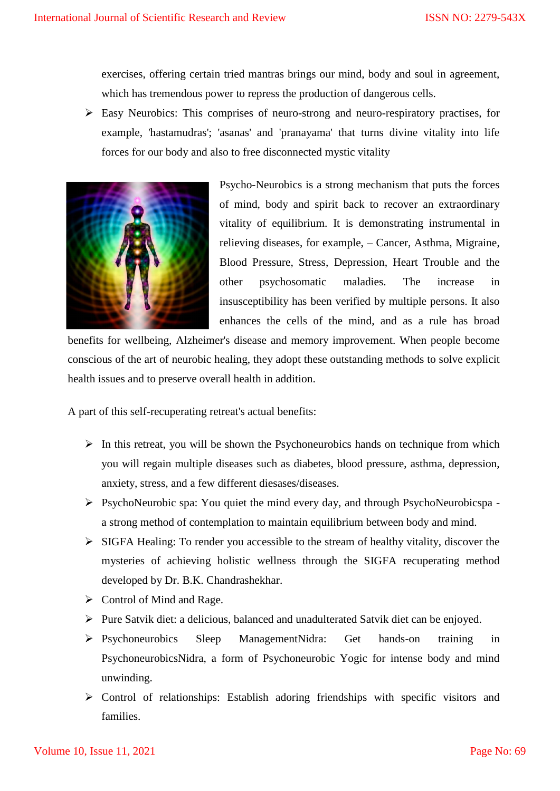exercises, offering certain tried mantras brings our mind, body and soul in agreement, which has tremendous power to repress the production of dangerous cells.

 $\triangleright$  Easy Neurobics: This comprises of neuro-strong and neuro-respiratory practises, for example, 'hastamudras'; 'asanas' and 'pranayama' that turns divine vitality into life forces for our body and also to free disconnected mystic vitality



Psycho-Neurobics is a strong mechanism that puts the forces of mind, body and spirit back to recover an extraordinary vitality of equilibrium. It is demonstrating instrumental in relieving diseases, for example, – Cancer, Asthma, Migraine, Blood Pressure, Stress, Depression, Heart Trouble and the other psychosomatic maladies. The increase in insusceptibility has been verified by multiple persons. It also enhances the cells of the mind, and as a rule has broad

benefits for wellbeing, Alzheimer's disease and memory improvement. When people become conscious of the art of neurobic healing, they adopt these outstanding methods to solve explicit health issues and to preserve overall health in addition.

A part of this self-recuperating retreat's actual benefits:

- $\triangleright$  In this retreat, you will be shown the Psychoneurobics hands on technique from which you will regain multiple diseases such as diabetes, blood pressure, asthma, depression, anxiety, stress, and a few different diesases/diseases.
- $\triangleright$  PsychoNeurobic spa: You quiet the mind every day, and through PsychoNeurobicspa a strong method of contemplation to maintain equilibrium between body and mind.
- $\triangleright$  SIGFA Healing: To render you accessible to the stream of healthy vitality, discover the mysteries of achieving holistic wellness through the SIGFA recuperating method developed by Dr. B.K. Chandrashekhar.
- $\triangleright$  Control of Mind and Rage.
- Pure Satvik diet: a delicious, balanced and unadulterated Satvik diet can be enjoyed.
- Psychoneurobics Sleep ManagementNidra: Get hands-on training in PsychoneurobicsNidra, a form of Psychoneurobic Yogic for intense body and mind unwinding.
- Control of relationships: Establish adoring friendships with specific visitors and families.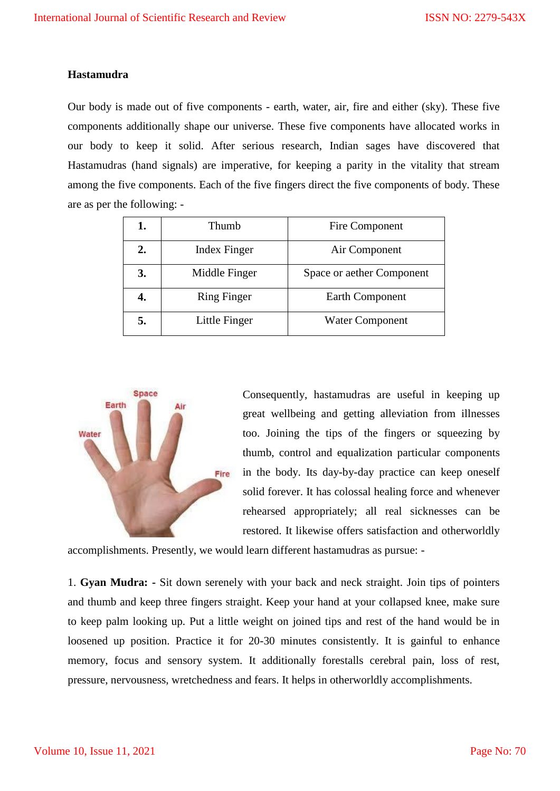## **Hastamudra**

Our body is made out of five components - earth, water, air, fire and either (sky). These five components additionally shape our universe. These five components have allocated works in our body to keep it solid. After serious research, Indian sages have discovered that Hastamudras (hand signals) are imperative, for keeping a parity in the vitality that stream among the five components. Each of the five fingers direct the five components of body. These are as per the following: -

| 1. | Thumb               | Fire Component            |
|----|---------------------|---------------------------|
| 2. | <b>Index Finger</b> | Air Component             |
| 3. | Middle Finger       | Space or aether Component |
|    | <b>Ring Finger</b>  | Earth Component           |
| 5. | Little Finger       | <b>Water Component</b>    |



Consequently, hastamudras are useful in keeping up great wellbeing and getting alleviation from illnesses too. Joining the tips of the fingers or squeezing by thumb, control and equalization particular components in the body. Its day-by-day practice can keep oneself solid forever. It has colossal healing force and whenever rehearsed appropriately; all real sicknesses can be restored. It likewise offers satisfaction and otherworldly

accomplishments. Presently, we would learn different hastamudras as pursue: -

1. **Gyan Mudra: -** Sit down serenely with your back and neck straight. Join tips of pointers and thumb and keep three fingers straight. Keep your hand at your collapsed knee, make sure to keep palm looking up. Put a little weight on joined tips and rest of the hand would be in loosened up position. Practice it for 20-30 minutes consistently. It is gainful to enhance memory, focus and sensory system. It additionally forestalls cerebral pain, loss of rest, pressure, nervousness, wretchedness and fears. It helps in otherworldly accomplishments.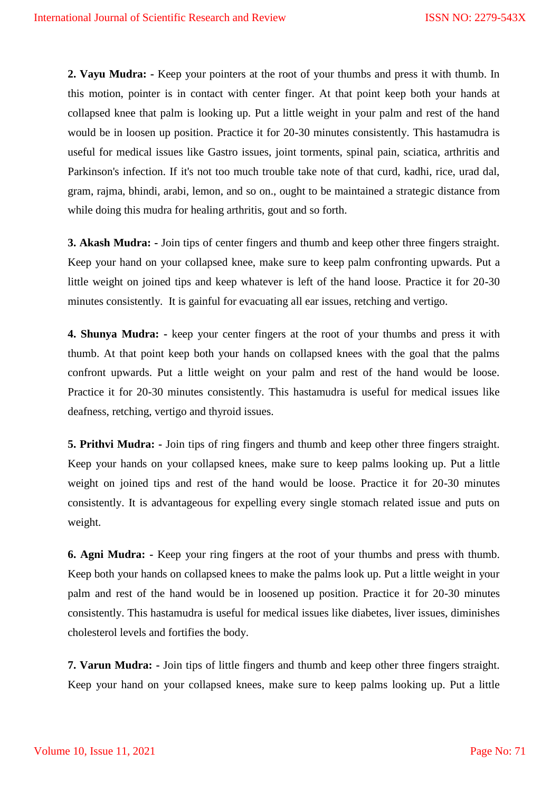**2. Vayu Mudra: -** Keep your pointers at the root of your thumbs and press it with thumb. In this motion, pointer is in contact with center finger. At that point keep both your hands at collapsed knee that palm is looking up. Put a little weight in your palm and rest of the hand would be in loosen up position. Practice it for 20-30 minutes consistently. This hastamudra is useful for medical issues like Gastro issues, joint torments, spinal pain, sciatica, arthritis and Parkinson's infection. If it's not too much trouble take note of that curd, kadhi, rice, urad dal, gram, rajma, bhindi, arabi, lemon, and so on., ought to be maintained a strategic distance from while doing this mudra for healing arthritis, gout and so forth.

**3. Akash Mudra: -** Join tips of center fingers and thumb and keep other three fingers straight. Keep your hand on your collapsed knee, make sure to keep palm confronting upwards. Put a little weight on joined tips and keep whatever is left of the hand loose. Practice it for 20-30 minutes consistently. It is gainful for evacuating all ear issues, retching and vertigo.

**4. Shunya Mudra: -** keep your center fingers at the root of your thumbs and press it with thumb. At that point keep both your hands on collapsed knees with the goal that the palms confront upwards. Put a little weight on your palm and rest of the hand would be loose. Practice it for 20-30 minutes consistently. This hastamudra is useful for medical issues like deafness, retching, vertigo and thyroid issues.

**5. Prithvi Mudra: -** Join tips of ring fingers and thumb and keep other three fingers straight. Keep your hands on your collapsed knees, make sure to keep palms looking up. Put a little weight on joined tips and rest of the hand would be loose. Practice it for 20-30 minutes consistently. It is advantageous for expelling every single stomach related issue and puts on weight.

**6. Agni Mudra: -** Keep your ring fingers at the root of your thumbs and press with thumb. Keep both your hands on collapsed knees to make the palms look up. Put a little weight in your palm and rest of the hand would be in loosened up position. Practice it for 20-30 minutes consistently. This hastamudra is useful for medical issues like diabetes, liver issues, diminishes cholesterol levels and fortifies the body.

**7. Varun Mudra: -** Join tips of little fingers and thumb and keep other three fingers straight. Keep your hand on your collapsed knees, make sure to keep palms looking up. Put a little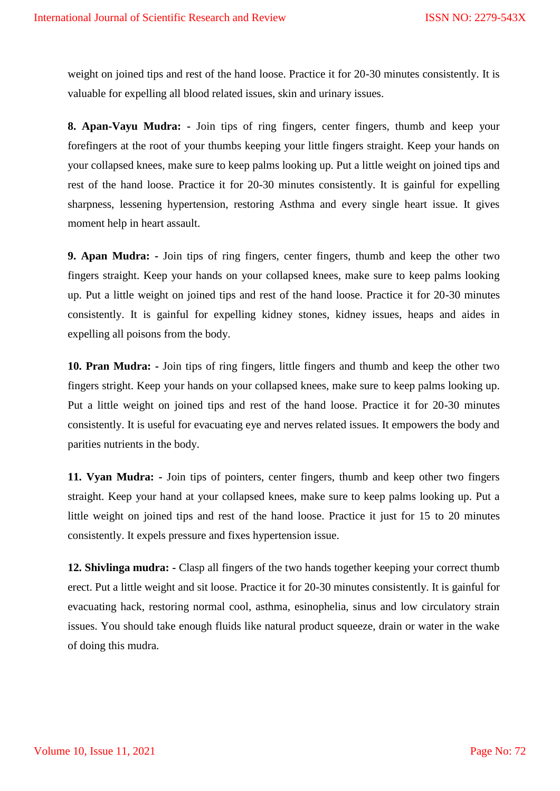weight on joined tips and rest of the hand loose. Practice it for 20-30 minutes consistently. It is valuable for expelling all blood related issues, skin and urinary issues.

**8. Apan-Vayu Mudra: -** Join tips of ring fingers, center fingers, thumb and keep your forefingers at the root of your thumbs keeping your little fingers straight. Keep your hands on your collapsed knees, make sure to keep palms looking up. Put a little weight on joined tips and rest of the hand loose. Practice it for 20-30 minutes consistently. It is gainful for expelling sharpness, lessening hypertension, restoring Asthma and every single heart issue. It gives moment help in heart assault.

**9. Apan Mudra: -** Join tips of ring fingers, center fingers, thumb and keep the other two fingers straight. Keep your hands on your collapsed knees, make sure to keep palms looking up. Put a little weight on joined tips and rest of the hand loose. Practice it for 20-30 minutes consistently. It is gainful for expelling kidney stones, kidney issues, heaps and aides in expelling all poisons from the body.

**10. Pran Mudra: -** Join tips of ring fingers, little fingers and thumb and keep the other two fingers stright. Keep your hands on your collapsed knees, make sure to keep palms looking up. Put a little weight on joined tips and rest of the hand loose. Practice it for 20-30 minutes consistently. It is useful for evacuating eye and nerves related issues. It empowers the body and parities nutrients in the body.

**11. Vyan Mudra: -** Join tips of pointers, center fingers, thumb and keep other two fingers straight. Keep your hand at your collapsed knees, make sure to keep palms looking up. Put a little weight on joined tips and rest of the hand loose. Practice it just for 15 to 20 minutes consistently. It expels pressure and fixes hypertension issue.

**12. Shivlinga mudra: -** Clasp all fingers of the two hands together keeping your correct thumb erect. Put a little weight and sit loose. Practice it for 20-30 minutes consistently. It is gainful for evacuating hack, restoring normal cool, asthma, esinophelia, sinus and low circulatory strain issues. You should take enough fluids like natural product squeeze, drain or water in the wake of doing this mudra.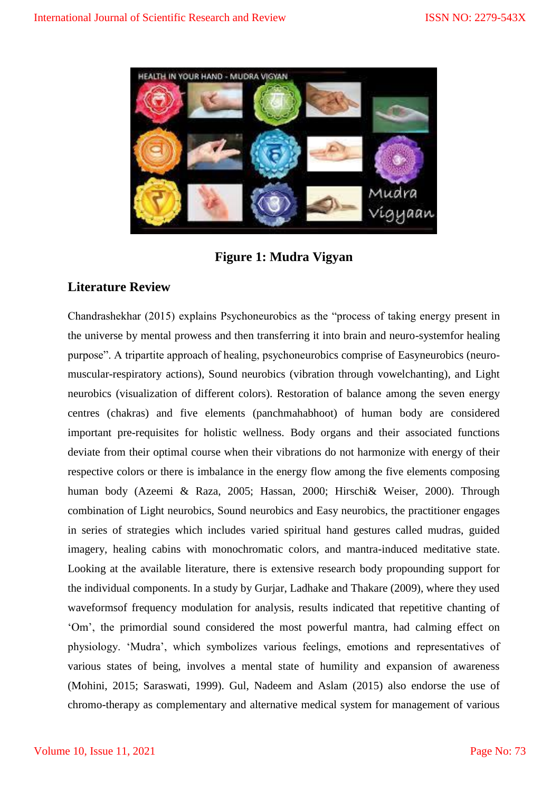

**Figure 1: Mudra Vigyan**

# **Literature Review**

Chandrashekhar (2015) explains Psychoneurobics as the "process of taking energy present in the universe by mental prowess and then transferring it into brain and neuro-systemfor healing purpose". A tripartite approach of healing, psychoneurobics comprise of Easyneurobics (neuromuscular-respiratory actions), Sound neurobics (vibration through vowelchanting), and Light neurobics (visualization of different colors). Restoration of balance among the seven energy centres (chakras) and five elements (panchmahabhoot) of human body are considered important pre-requisites for holistic wellness. Body organs and their associated functions deviate from their optimal course when their vibrations do not harmonize with energy of their respective colors or there is imbalance in the energy flow among the five elements composing human body (Azeemi & Raza, 2005; Hassan, 2000; Hirschi& Weiser, 2000). Through combination of Light neurobics, Sound neurobics and Easy neurobics, the practitioner engages in series of strategies which includes varied spiritual hand gestures called mudras, guided imagery, healing cabins with monochromatic colors, and mantra-induced meditative state. Looking at the available literature, there is extensive research body propounding support for the individual components. In a study by Gurjar, Ladhake and Thakare (2009), where they used waveformsof frequency modulation for analysis, results indicated that repetitive chanting of ‗Om', the primordial sound considered the most powerful mantra, had calming effect on physiology. ‗Mudra', which symbolizes various feelings, emotions and representatives of various states of being, involves a mental state of humility and expansion of awareness (Mohini, 2015; Saraswati, 1999). Gul, Nadeem and Aslam (2015) also endorse the use of chromo-therapy as complementary and alternative medical system for management of various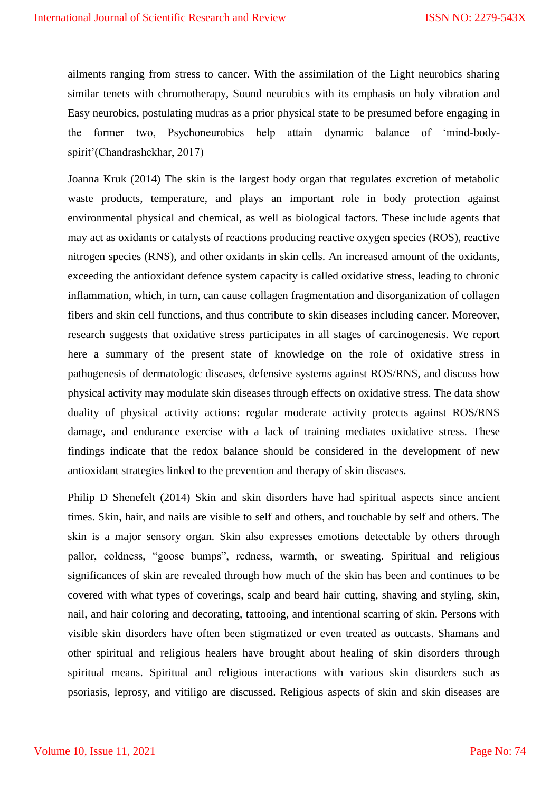ailments ranging from stress to cancer. With the assimilation of the Light neurobics sharing similar tenets with chromotherapy, Sound neurobics with its emphasis on holy vibration and Easy neurobics, postulating mudras as a prior physical state to be presumed before engaging in the former two, Psychoneurobics help attain dynamic balance of 'mind-bodyspirit'(Chandrashekhar, 2017)

Joanna Kruk (2014) The skin is the largest body organ that regulates excretion of metabolic waste products, temperature, and plays an important role in body protection against environmental physical and chemical, as well as biological factors. These include agents that may act as oxidants or catalysts of reactions producing reactive oxygen species (ROS), reactive nitrogen species (RNS), and other oxidants in skin cells. An increased amount of the oxidants, exceeding the antioxidant defence system capacity is called oxidative stress, leading to chronic inflammation, which, in turn, can cause collagen fragmentation and disorganization of collagen fibers and skin cell functions, and thus contribute to skin diseases including cancer. Moreover, research suggests that oxidative stress participates in all stages of carcinogenesis. We report here a summary of the present state of knowledge on the role of oxidative stress in pathogenesis of dermatologic diseases, defensive systems against ROS/RNS, and discuss how physical activity may modulate skin diseases through effects on oxidative stress. The data show duality of physical activity actions: regular moderate activity protects against ROS/RNS damage, and endurance exercise with a lack of training mediates oxidative stress. These findings indicate that the redox balance should be considered in the development of new antioxidant strategies linked to the prevention and therapy of skin diseases.

Philip D Shenefelt (2014) Skin and skin disorders have had spiritual aspects since ancient times. Skin, hair, and nails are visible to self and others, and touchable by self and others. The skin is a major sensory organ. Skin also expresses emotions detectable by others through pallor, coldness, "goose bumps", redness, warmth, or sweating. Spiritual and religious significances of skin are revealed through how much of the skin has been and continues to be covered with what types of coverings, scalp and beard hair cutting, shaving and styling, skin, nail, and hair coloring and decorating, tattooing, and intentional scarring of skin. Persons with visible skin disorders have often been stigmatized or even treated as outcasts. Shamans and other spiritual and religious healers have brought about healing of skin disorders through spiritual means. Spiritual and religious interactions with various skin disorders such as psoriasis, leprosy, and vitiligo are discussed. Religious aspects of skin and skin diseases are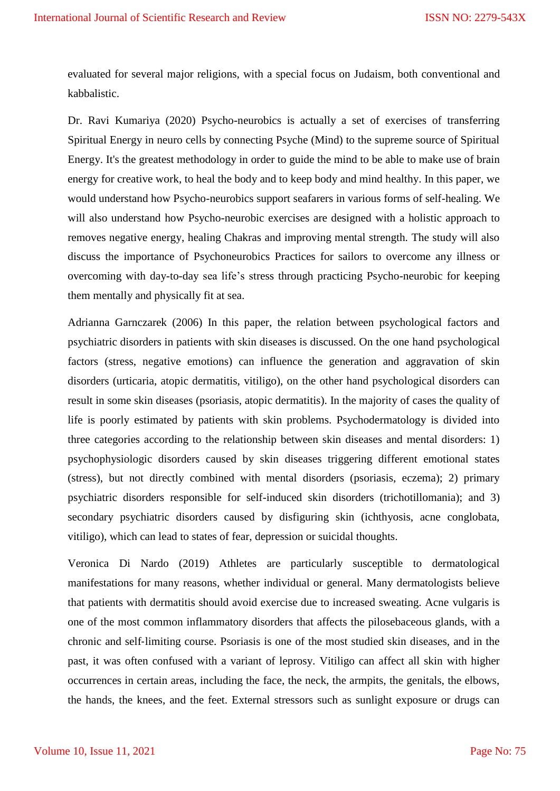evaluated for several major religions, with a special focus on Judaism, both conventional and kabbalistic.

Dr. Ravi Kumariya (2020) Psycho-neurobics is actually a set of exercises of transferring Spiritual Energy in neuro cells by connecting Psyche (Mind) to the supreme source of Spiritual Energy. It's the greatest methodology in order to guide the mind to be able to make use of brain energy for creative work, to heal the body and to keep body and mind healthy. In this paper, we would understand how Psycho-neurobics support seafarers in various forms of self-healing. We will also understand how Psycho-neurobic exercises are designed with a holistic approach to removes negative energy, healing Chakras and improving mental strength. The study will also discuss the importance of Psychoneurobics Practices for sailors to overcome any illness or overcoming with day-to-day sea life's stress through practicing Psycho-neurobic for keeping them mentally and physically fit at sea.

Adrianna Garnczarek (2006) In this paper, the relation between psychological factors and psychiatric disorders in patients with skin diseases is discussed. On the one hand psychological factors (stress, negative emotions) can influence the generation and aggravation of skin disorders (urticaria, atopic dermatitis, vitiligo), on the other hand psychological disorders can result in some skin diseases (psoriasis, atopic dermatitis). In the majority of cases the quality of life is poorly estimated by patients with skin problems. Psychodermatology is divided into three categories according to the relationship between skin diseases and mental disorders: 1) psychophysiologic disorders caused by skin diseases triggering different emotional states (stress), but not directly combined with mental disorders (psoriasis, eczema); 2) primary psychiatric disorders responsible for self-induced skin disorders (trichotillomania); and 3) secondary psychiatric disorders caused by disfiguring skin (ichthyosis, acne conglobata, vitiligo), which can lead to states of fear, depression or suicidal thoughts.

Veronica Di Nardo (2019) Athletes are particularly susceptible to dermatological manifestations for many reasons, whether individual or general. Many dermatologists believe that patients with dermatitis should avoid exercise due to increased sweating. Acne vulgaris is one of the most common inflammatory disorders that affects the pilosebaceous glands, with a chronic and self‐limiting course. Psoriasis is one of the most studied skin diseases, and in the past, it was often confused with a variant of leprosy. Vitiligo can affect all skin with higher occurrences in certain areas, including the face, the neck, the armpits, the genitals, the elbows, the hands, the knees, and the feet. External stressors such as sunlight exposure or drugs can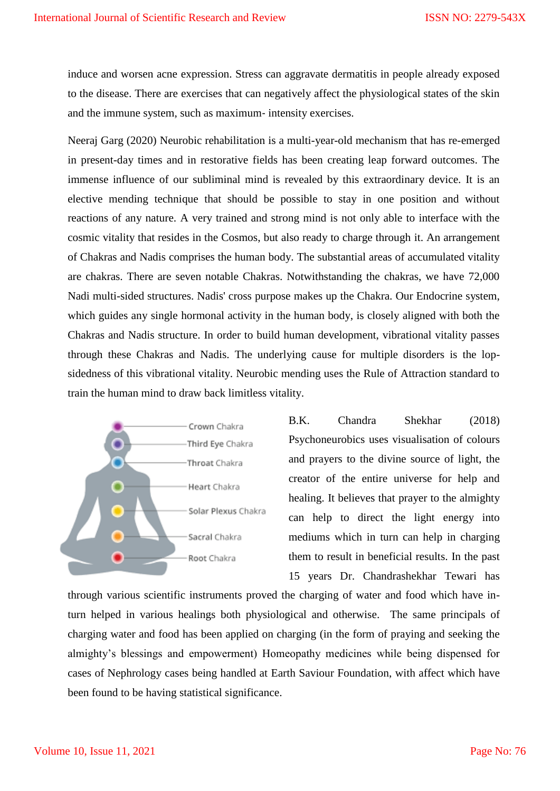induce and worsen acne expression. Stress can aggravate dermatitis in people already exposed to the disease. There are exercises that can negatively affect the physiological states of the skin and the immune system, such as maximum‐ intensity exercises.

Neeraj Garg (2020) Neurobic rehabilitation is a multi-year-old mechanism that has re-emerged in present-day times and in restorative fields has been creating leap forward outcomes. The immense influence of our subliminal mind is revealed by this extraordinary device. It is an elective mending technique that should be possible to stay in one position and without reactions of any nature. A very trained and strong mind is not only able to interface with the cosmic vitality that resides in the Cosmos, but also ready to charge through it. An arrangement of Chakras and Nadis comprises the human body. The substantial areas of accumulated vitality are chakras. There are seven notable Chakras. Notwithstanding the chakras, we have 72,000 Nadi multi-sided structures. Nadis' cross purpose makes up the Chakra. Our Endocrine system, which guides any single hormonal activity in the human body, is closely aligned with both the Chakras and Nadis structure. In order to build human development, vibrational vitality passes through these Chakras and Nadis. The underlying cause for multiple disorders is the lopsidedness of this vibrational vitality. Neurobic mending uses the Rule of Attraction standard to train the human mind to draw back limitless vitality.



B.K. Chandra Shekhar (2018) Psychoneurobics uses visualisation of colours and prayers to the divine source of light, the creator of the entire universe for help and healing. It believes that prayer to the almighty can help to direct the light energy into mediums which in turn can help in charging them to result in beneficial results. In the past 15 years Dr. Chandrashekhar Tewari has

through various scientific instruments proved the charging of water and food which have inturn helped in various healings both physiological and otherwise. The same principals of charging water and food has been applied on charging (in the form of praying and seeking the almighty's blessings and empowerment) Homeopathy medicines while being dispensed for cases of Nephrology cases being handled at Earth Saviour Foundation, with affect which have been found to be having statistical significance.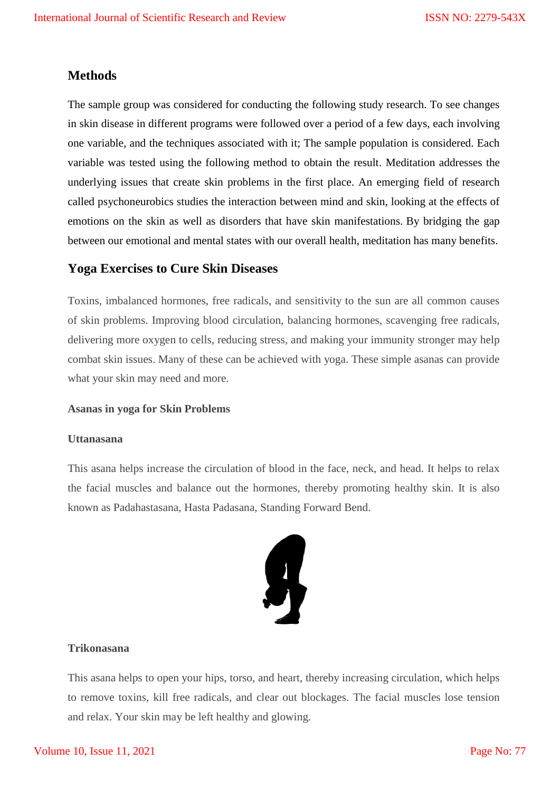# **Methods**

The sample group was considered for conducting the following study research. To see changes in skin disease in different programs were followed over a period of a few days, each involving one variable, and the techniques associated with it; The sample population is considered. Each variable was tested using the following method to obtain the result. Meditation addresses the underlying issues that create skin problems in the first place. An emerging field of research called psychoneurobics studies the interaction between mind and skin, looking at the effects of emotions on the skin as well as disorders that have skin manifestations. By bridging the gap between our emotional and mental states with our overall health, meditation has many benefits.

# **Yoga Exercises to Cure Skin Diseases**

Toxins, imbalanced hormones, free radicals, and sensitivity to the sun are all common causes of skin problems. Improving blood circulation, balancing hormones, scavenging free radicals, delivering more oxygen to cells, reducing stress, and making your immunity stronger may help combat skin issues. Many of these can be achieved with yoga. These simple asanas can provide what your skin may need and more.

#### **Asanas in yoga for Skin Problems**

# **Uttanasana**

This asana helps increase the circulation of blood in the face, neck, and head. It helps to relax the facial muscles and balance out the hormones, thereby promoting healthy skin. It is also known as Padahastasana, Hasta Padasana, Standing Forward Bend.



# **Trikonasana**

This asana helps to open your hips, torso, and heart, thereby increasing circulation, which helps to remove toxins, kill free radicals, and clear out blockages. The facial muscles lose tension and relax. Your skin may be left healthy and glowing.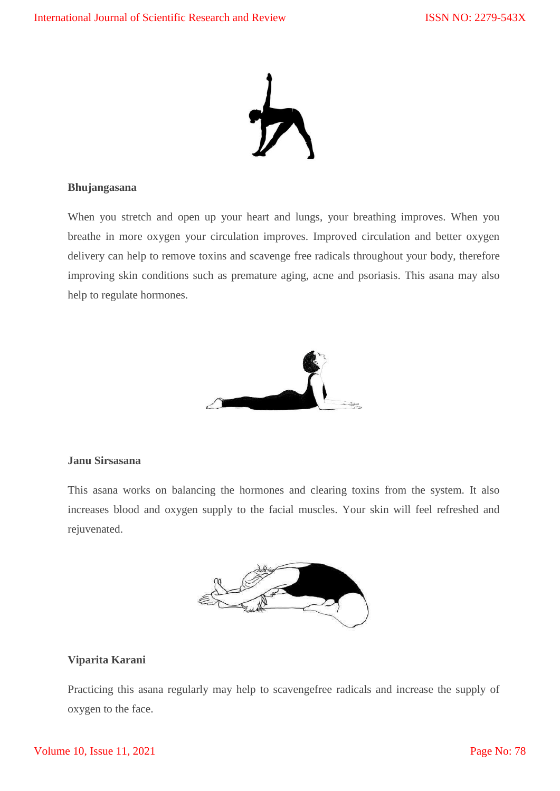

# **Bhujangasana**

When you stretch and open up your heart and lungs, your breathing improves. When you breathe in more oxygen your circulation improves. Improved circulation and better oxygen delivery can help to remove toxins and scavenge free radicals throughout your body, therefore improving skin conditions such as premature aging, acne and psoriasis. This asana may also help to regulate hormones.



# **Janu Sirsasana**

This asana works on balancing the hormones and clearing toxins from the system. It also increases blood and oxygen supply to the facial muscles. Your skin will feel refreshed and rejuvenated.



# **Viparita Karani**

Practicing this asana regularly may help to scavengefree radicals and increase the supply of oxygen to the face.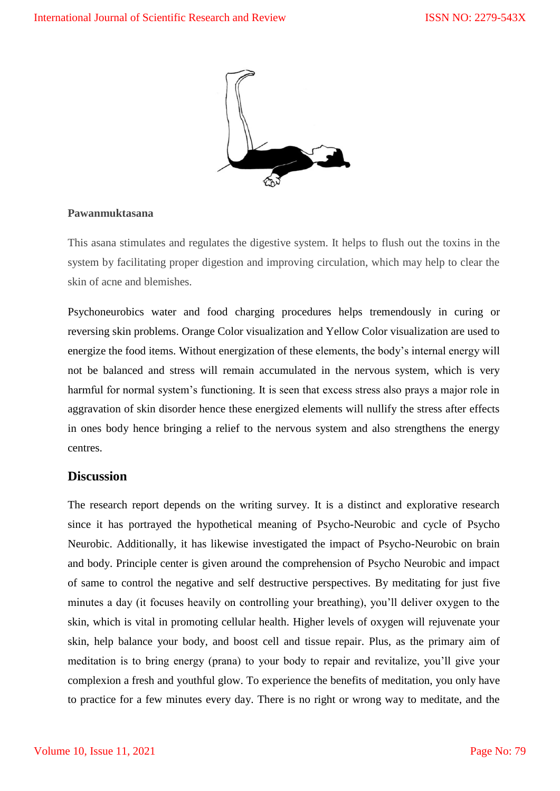

# **Pawanmuktasana**

This asana stimulates and regulates the digestive system. It helps to flush out the toxins in the system by facilitating proper digestion and improving circulation, which may help to clear the skin of acne and blemishes.

Psychoneurobics water and food charging procedures helps tremendously in curing or reversing skin problems. Orange Color visualization and Yellow Color visualization are used to energize the food items. Without energization of these elements, the body's internal energy will not be balanced and stress will remain accumulated in the nervous system, which is very harmful for normal system's functioning. It is seen that excess stress also prays a major role in aggravation of skin disorder hence these energized elements will nullify the stress after effects in ones body hence bringing a relief to the nervous system and also strengthens the energy centres.

# **Discussion**

The research report depends on the writing survey. It is a distinct and explorative research since it has portrayed the hypothetical meaning of Psycho-Neurobic and cycle of Psycho Neurobic. Additionally, it has likewise investigated the impact of Psycho-Neurobic on brain and body. Principle center is given around the comprehension of Psycho Neurobic and impact of same to control the negative and self destructive perspectives. By meditating for just five minutes a day (it focuses heavily on controlling your breathing), you'll deliver oxygen to the skin, which is vital in promoting cellular health. Higher levels of oxygen will rejuvenate your skin, help balance your body, and boost cell and tissue repair. Plus, as the primary aim of meditation is to bring energy (prana) to your body to repair and revitalize, you'll give your complexion a fresh and youthful glow. To experience the benefits of meditation, you only have to practice for a few minutes every day. There is no right or wrong way to meditate, and the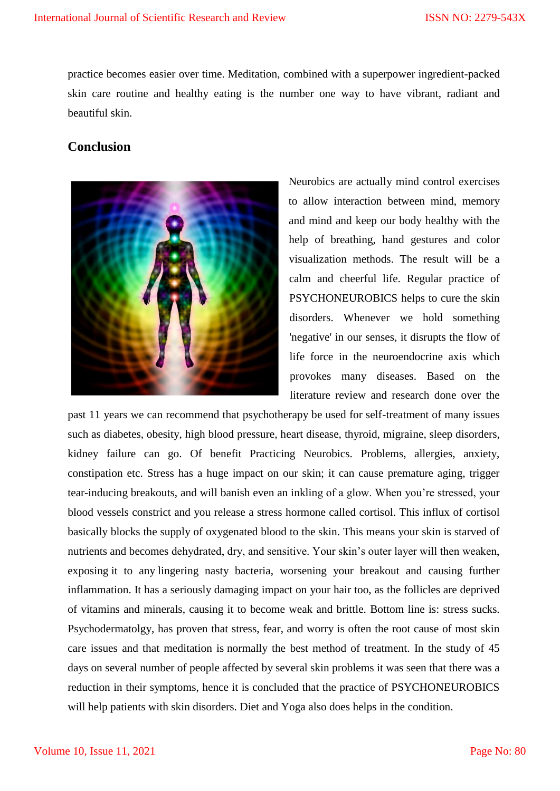practice becomes easier over time. Meditation, combined with a superpower ingredient-packed skin care routine and healthy eating is the number one way to have vibrant, radiant and beautiful skin.

# **Conclusion**



Neurobics are actually mind control exercises to allow interaction between mind, memory and mind and keep our body healthy with the help of breathing, hand gestures and color visualization methods. The result will be a calm and cheerful life. Regular practice of PSYCHONEUROBICS helps to cure the skin disorders. Whenever we hold something 'negative' in our senses, it disrupts the flow of life force in the neuroendocrine axis which provokes many diseases. Based on the literature review and research done over the

past 11 years we can recommend that psychotherapy be used for self-treatment of many issues such as diabetes, obesity, high blood pressure, heart disease, thyroid, migraine, sleep disorders, kidney failure can go. Of benefit Practicing Neurobics. Problems, allergies, anxiety, constipation etc. Stress has a huge impact on our skin; it can cause premature aging, trigger tear-inducing breakouts, and will banish even an inkling of a glow. When you're stressed, your blood vessels constrict and you release a stress hormone called cortisol. This influx of cortisol basically blocks the supply of oxygenated blood to the skin. This means your skin is starved of nutrients and becomes dehydrated, dry, and sensitive. Your skin's outer layer will then weaken, exposing it to any lingering nasty bacteria, worsening your breakout and causing further inflammation. It has a seriously damaging impact on your hair too, as the follicles are deprived of vitamins and minerals, causing it to become weak and brittle. Bottom line is: stress sucks. Psychodermatolgy, has proven that stress, fear, and worry is often the root cause of most skin care issues and that meditation is normally the best method of treatment. In the study of 45 days on several number of people affected by several skin problems it was seen that there was a reduction in their symptoms, hence it is concluded that the practice of PSYCHONEUROBICS will help patients with skin disorders. Diet and Yoga also does helps in the condition.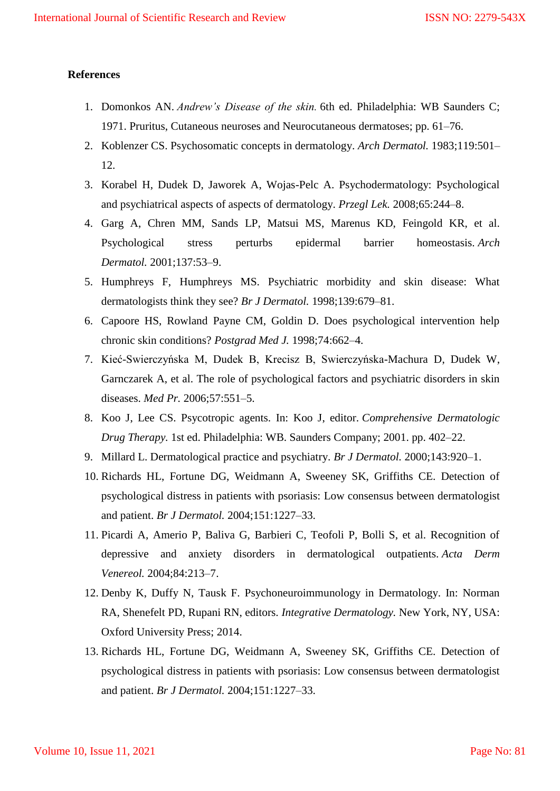## **References**

- 1. Domonkos AN. *Andrew's Disease of the skin.* 6th ed. Philadelphia: WB Saunders C; 1971. Pruritus, Cutaneous neuroses and Neurocutaneous dermatoses; pp. 61–76.
- 2. Koblenzer CS. Psychosomatic concepts in dermatology. *Arch Dermatol.* 1983;119:501– 12.
- 3. Korabel H, Dudek D, Jaworek A, Wojas-Pelc A. Psychodermatology: Psychological and psychiatrical aspects of aspects of dermatology. *Przegl Lek.* 2008;65:244–8.
- 4. Garg A, Chren MM, Sands LP, Matsui MS, Marenus KD, Feingold KR, et al. Psychological stress perturbs epidermal barrier homeostasis. *Arch Dermatol.* 2001;137:53–9.
- 5. Humphreys F, Humphreys MS. Psychiatric morbidity and skin disease: What dermatologists think they see? *Br J Dermatol.* 1998;139:679–81.
- 6. Capoore HS, Rowland Payne CM, Goldin D. Does psychological intervention help chronic skin conditions? *Postgrad Med J.* 1998;74:662–4.
- 7. Kieć-Swierczyńska M, Dudek B, Krecisz B, Swierczyńska-Machura D, Dudek W, Garnczarek A, et al. The role of psychological factors and psychiatric disorders in skin diseases. *Med Pr.* 2006;57:551–5.
- 8. Koo J, Lee CS. Psycotropic agents. In: Koo J, editor. *Comprehensive Dermatologic Drug Therapy.* 1st ed. Philadelphia: WB. Saunders Company; 2001. pp. 402–22.
- 9. Millard L. Dermatological practice and psychiatry. *Br J Dermatol.* 2000;143:920–1.
- 10. Richards HL, Fortune DG, Weidmann A, Sweeney SK, Griffiths CE. Detection of psychological distress in patients with psoriasis: Low consensus between dermatologist and patient. *Br J Dermatol.* 2004;151:1227–33.
- 11. Picardi A, Amerio P, Baliva G, Barbieri C, Teofoli P, Bolli S, et al. Recognition of depressive and anxiety disorders in dermatological outpatients. *Acta Derm Venereol.* 2004;84:213–7.
- 12. Denby K, Duffy N, Tausk F. Psychoneuroimmunology in Dermatology. In: Norman RA, Shenefelt PD, Rupani RN, editors. *Integrative Dermatology.* New York, NY, USA: Oxford University Press; 2014.
- 13. Richards HL, Fortune DG, Weidmann A, Sweeney SK, Griffiths CE. Detection of psychological distress in patients with psoriasis: Low consensus between dermatologist and patient. *Br J Dermatol.* 2004;151:1227–33.